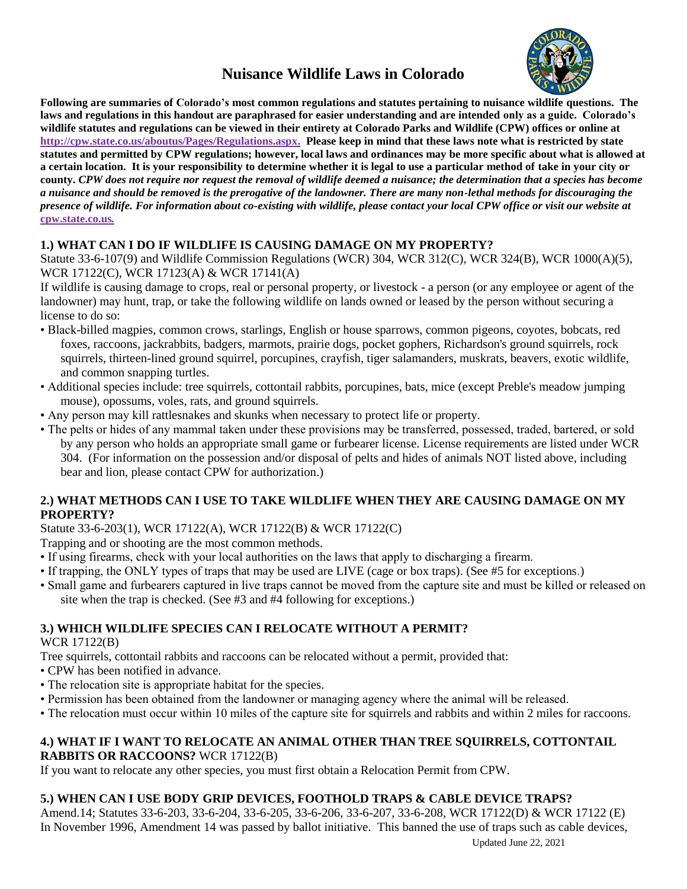# **Nuisance Wildlife Laws in Colorado**



**Following are summaries of Colorado's most common regulations and statutes pertaining to nuisance wildlife questions. The laws and regulations in this handout are paraphrased for easier understanding and are intended only as a guide. Colorado's wildlife statutes and regulations can be viewed in their entirety at Colorado Parks and Wildlife (CPW) offices or online at http://cpw.state.co.us/aboutus/Pages/Regulations.aspx. Please keep in mind that these laws note what is restricted by state statutes and permitted by CPW regulations; however, local laws and ordinances may be more specific about what is allowed at a certain location. It is your responsibility to determine whether it is legal to use a particular method of take in your city or county.** *CPW does not require nor request the removal of wildlife deemed a nuisance; the determination that a species has become a nuisance and should be removed is the prerogative of the landowner. There are many non-lethal methods for discouraging the presence of wildlife. For information about co-existing with wildlife, please contact your local CPW office or visit our website at* **cpw.state.co.us***.*

## **1.) WHAT CAN I DO IF WILDLIFE IS CAUSING DAMAGE ON MY PROPERTY?**

Statute 33-6-107(9) and Wildlife Commission Regulations (WCR) 304, WCR 312(C), WCR 324(B), WCR 1000(A)(5), WCR 17122(C), WCR 17123(A) & WCR 17141(A)

If wildlife is causing damage to crops, real or personal property, or livestock - a person (or any employee or agent of the landowner) may hunt, trap, or take the following wildlife on lands owned or leased by the person without securing a license to do so:

- Black-billed magpies, common crows, starlings, English or house sparrows, common pigeons, coyotes, bobcats, red foxes, raccoons, jackrabbits, badgers, marmots, prairie dogs, pocket gophers, Richardson's ground squirrels, rock squirrels, thirteen-lined ground squirrel, porcupines, crayfish, tiger salamanders, muskrats, beavers, exotic wildlife, and common snapping turtles.
- Additional species include: tree squirrels, cottontail rabbits, porcupines, bats, mice (except Preble's meadow jumping mouse), opossums, voles, rats, and ground squirrels.
- Any person may kill rattlesnakes and skunks when necessary to protect life or property.
- The pelts or hides of any mammal taken under these provisions may be transferred, possessed, traded, bartered, or sold by any person who holds an appropriate small game or furbearer license. License requirements are listed under WCR 304. (For information on the possession and/or disposal of pelts and hides of animals NOT listed above, including bear and lion, please contact CPW for authorization.)

### **2.) WHAT METHODS CAN I USE TO TAKE WILDLIFE WHEN THEY ARE CAUSING DAMAGE ON MY PROPERTY?**

### Statute 33-6-203(1), WCR 17122(A), WCR 17122(B) & WCR 17122(C)

Trapping and or shooting are the most common methods.

- If using firearms, check with your local authorities on the laws that apply to discharging a firearm.
- If trapping, the ONLY types of traps that may be used are LIVE (cage or box traps). (See #5 for exceptions.)
- Small game and furbearers captured in live traps cannot be moved from the capture site and must be killed or released on site when the trap is checked. (See #3 and #4 following for exceptions.)

# **3.) WHICH WILDLIFE SPECIES CAN I RELOCATE WITHOUT A PERMIT?**

WCR 17122(B)

Tree squirrels, cottontail rabbits and raccoons can be relocated without a permit, provided that:

- CPW has been notified in advance.
- The relocation site is appropriate habitat for the species.
- Permission has been obtained from the landowner or managing agency where the animal will be released.
- The relocation must occur within 10 miles of the capture site for squirrels and rabbits and within 2 miles for raccoons.

#### **4.) WHAT IF I WANT TO RELOCATE AN ANIMAL OTHER THAN TREE SQUIRRELS, COTTONTAIL RABBITS OR RACCOONS?** WCR 17122(B)

If you want to relocate any other species, you must first obtain a Relocation Permit from CPW.

# **5.) WHEN CAN I USE BODY GRIP DEVICES, FOOTHOLD TRAPS & CABLE DEVICE TRAPS?**

Amend.14; Statutes 33-6-203, 33-6-204, 33-6-205, 33-6-206, 33-6-207, 33-6-208, WCR 17122(D) & WCR 17122 (E) In November 1996, Amendment 14 was passed by ballot initiative. This banned the use of traps such as cable devices,